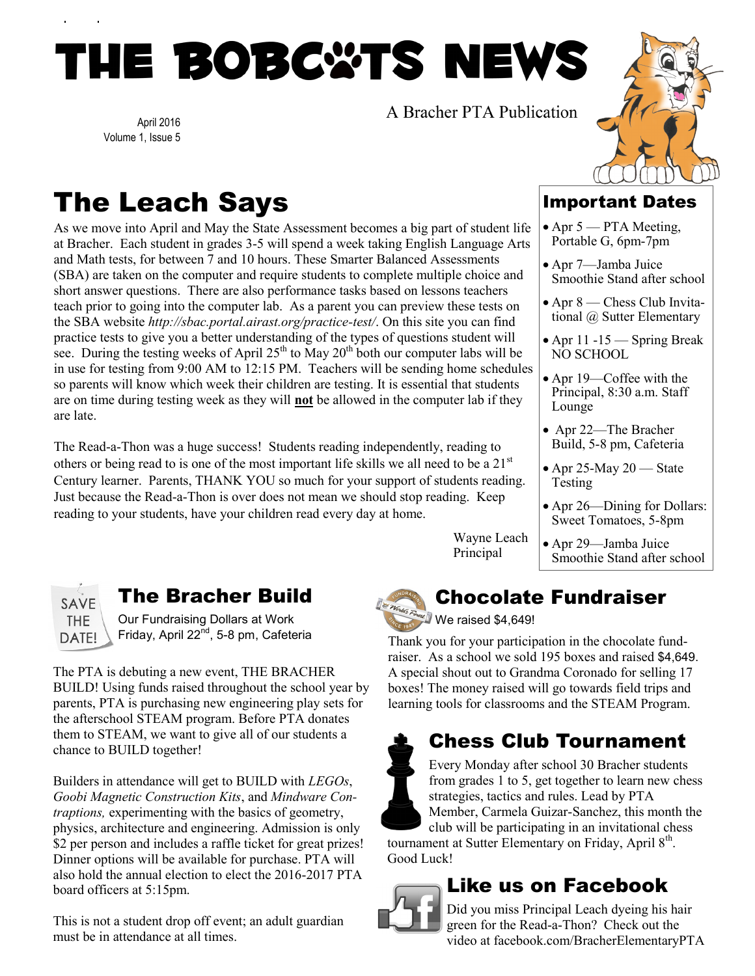# THE BOBC\*TS NEWS

A Bracher PTA Publication



## The Leach Says

As we move into April and May the State Assessment becomes a big part of student life at Bracher. Each student in grades 3-5 will spend a week taking English Language Arts and Math tests, for between 7 and 10 hours. These Smarter Balanced Assessments (SBA) are taken on the computer and require students to complete multiple choice and short answer questions. There are also performance tasks based on lessons teachers teach prior to going into the computer lab. As a parent you can preview these tests on the SBA website *http://sbac.portal.airast.org/practice-test/*. On this site you can find practice tests to give you a better understanding of the types of questions student will see. During the testing weeks of April  $25<sup>th</sup>$  to May  $20<sup>th</sup>$  both our computer labs will be in use for testing from 9:00 AM to 12:15 PM. Teachers will be sending home schedules so parents will know which week their children are testing. It is essential that students are on time during testing week as they will **not** be allowed in the computer lab if they are late.

The Read-a-Thon was a huge success! Students reading independently, reading to others or being read to is one of the most important life skills we all need to be a  $21<sup>st</sup>$ Century learner. Parents, THANK YOU so much for your support of students reading. Just because the Read-a-Thon is over does not mean we should stop reading. Keep reading to your students, have your children read every day at home.

> Wayne Leach Principal



### The Bracher Build

Our Fundraising Dollars at Work Friday, April 22<sup>nd</sup>, 5-8 pm, Cafeteria

The PTA is debuting a new event, THE BRACHER BUILD! Using funds raised throughout the school year by parents, PTA is purchasing new engineering play sets for the afterschool STEAM program. Before PTA donates them to STEAM, we want to give all of our students a chance to BUILD together!

Builders in attendance will get to BUILD with *LEGOs*, *Goobi Magnetic Construction Kits*, and *Mindware Contraptions,* experimenting with the basics of geometry, physics, architecture and engineering. Admission is only \$2 per person and includes a raffle ticket for great prizes! Dinner options will be available for purchase. PTA will also hold the annual election to elect the 2016-2017 PTA board officers at 5:15pm.

This is not a student drop off event; an adult guardian must be in attendance at all times.



#### Important Dates

- Apr  $5$  PTA Meeting, Portable G, 6pm-7pm
- Apr 7—Jamba Juice Smoothie Stand after school
- Apr 8 Chess Club Invitational @ Sutter Elementary
- Apr 11 -15 Spring Break NO SCHOOL
- Apr 19—Coffee with the Principal, 8:30 a.m. Staff Lounge
- Apr 22—The Bracher Build, 5-8 pm, Cafeteria
- Apr 25-May 20 State Testing
- Apr 26—Dining for Dollars: Sweet Tomatoes, 5-8pm
- Apr 29—Jamba Juice Smoothie Stand after school



### Chocolate Fundraiser

We raised \$4,649!

Thank you for your participation in the chocolate fundraiser. As a school we sold 195 boxes and raised \$4,649. A special shout out to Grandma Coronado for selling 17 boxes! The money raised will go towards field trips and learning tools for classrooms and the STEAM Program.

### Chess Club Tournament



Every Monday after school 30 Bracher students from grades 1 to 5, get together to learn new chess strategies, tactics and rules. Lead by PTA Member, Carmela Guizar-Sanchez, this month the

club will be participating in an invitational chess tournament at Sutter Elementary on Friday, April 8<sup>th</sup>. Good Luck!



### Like us on Facebook

Did you miss Principal Leach dyeing his hair green for the Read-a-Thon? Check out the video at facebook.com/BracherElementaryPTA